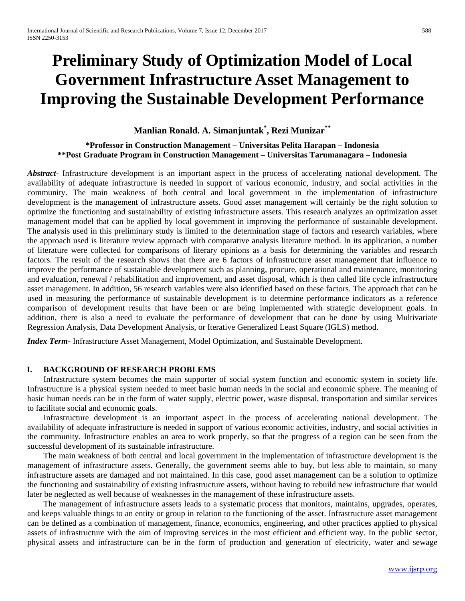# **Preliminary Study of Optimization Model of Local Government Infrastructure Asset Management to Improving the Sustainable Development Performance**

# **Manlian Ronald. A. Simanjuntak\* , Rezi Munizar\*\***

**\*Professor in Construction Management – Universitas Pelita Harapan – Indonesia \*\*Post Graduate Program in Construction Management – Universitas Tarumanagara – Indonesia** 

*Abstract*- Infrastructure development is an important aspect in the process of accelerating national development. The availability of adequate infrastructure is needed in support of various economic, industry, and social activities in the community. The main weakness of both central and local government in the implementation of infrastructure development is the management of infrastructure assets. Good asset management will certainly be the right solution to optimize the functioning and sustainability of existing infrastructure assets. This research analyzes an optimization asset management model that can be applied by local government in improving the performance of sustainable development. The analysis used in this preliminary study is limited to the determination stage of factors and research variables, where the approach used is literature review approach with comparative analysis literature method. In its application, a number of literature were collected for comparisons of literary opinions as a basis for determining the variables and research factors. The result of the research shows that there are 6 factors of infrastructure asset management that influence to improve the performance of sustainable development such as planning, procure, operational and maintenance, monitoring and evaluation, renewal / rehabilitation and improvement, and asset disposal, which is then called life cycle infrastructure asset management. In addition, 56 research variables were also identified based on these factors. The approach that can be used in measuring the performance of sustainable development is to determine performance indicators as a reference comparison of development results that have been or are being implemented with strategic development goals. In addition, there is also a need to evaluate the performance of development that can be done by using Multivariate Regression Analysis, Data Development Analysis, or Iterative Generalized Least Square (IGLS) method.

*Index Term*- Infrastructure Asset Management, Model Optimization, and Sustainable Development.

#### **I. BACKGROUND OF RESEARCH PROBLEMS**

Infrastructure system becomes the main supporter of social system function and economic system in society life. Infrastructure is a physical system needed to meet basic human needs in the social and economic sphere. The meaning of basic human needs can be in the form of water supply, electric power, waste disposal, transportation and similar services to facilitate social and economic goals.

Infrastructure development is an important aspect in the process of accelerating national development. The availability of adequate infrastructure is needed in support of various economic activities, industry, and social activities in the community. Infrastructure enables an area to work properly, so that the progress of a region can be seen from the successful development of its sustainable infrastructure.

The main weakness of both central and local government in the implementation of infrastructure development is the management of infrastructure assets. Generally, the government seems able to buy, but less able to maintain, so many infrastructure assets are damaged and not maintained. In this case, good asset management can be a solution to optimize the functioning and sustainability of existing infrastructure assets, without having to rebuild new infrastructure that would later be neglected as well because of weaknesses in the management of these infrastructure assets.

The management of infrastructure assets leads to a systematic process that monitors, maintains, upgrades, operates, and keeps valuable things to an entity or group in relation to the functioning of the asset. Infrastructure asset management can be defined as a combination of management, finance, economics, engineering, and other practices applied to physical assets of infrastructure with the aim of improving services in the most efficient and efficient way. In the public sector, physical assets and infrastructure can be in the form of production and generation of electricity, water and sewage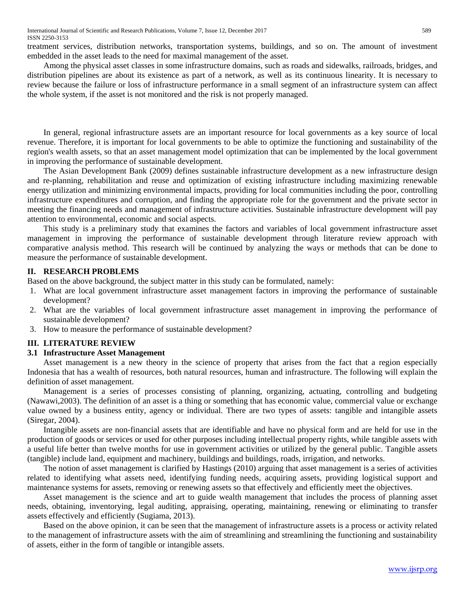treatment services, distribution networks, transportation systems, buildings, and so on. The amount of investment embedded in the asset leads to the need for maximal management of the asset.

Among the physical asset classes in some infrastructure domains, such as roads and sidewalks, railroads, bridges, and distribution pipelines are about its existence as part of a network, as well as its continuous linearity. It is necessary to review because the failure or loss of infrastructure performance in a small segment of an infrastructure system can affect the whole system, if the asset is not monitored and the risk is not properly managed.

In general, regional infrastructure assets are an important resource for local governments as a key source of local revenue. Therefore, it is important for local governments to be able to optimize the functioning and sustainability of the region's wealth assets, so that an asset management model optimization that can be implemented by the local government in improving the performance of sustainable development.

The Asian Development Bank (2009) defines sustainable infrastructure development as a new infrastructure design and re-planning, rehabilitation and reuse and optimization of existing infrastructure including maximizing renewable energy utilization and minimizing environmental impacts, providing for local communities including the poor, controlling infrastructure expenditures and corruption, and finding the appropriate role for the government and the private sector in meeting the financing needs and management of infrastructure activities. Sustainable infrastructure development will pay attention to environmental, economic and social aspects.

This study is a preliminary study that examines the factors and variables of local government infrastructure asset management in improving the performance of sustainable development through literature review approach with comparative analysis method. This research will be continued by analyzing the ways or methods that can be done to measure the performance of sustainable development.

# **II. RESEARCH PROBLEMS**

Based on the above background, the subject matter in this study can be formulated, namely:

- 1. What are local government infrastructure asset management factors in improving the performance of sustainable development?
- 2. What are the variables of local government infrastructure asset management in improving the performance of sustainable development?
- 3. How to measure the performance of sustainable development?

#### **III. LITERATURE REVIEW**

#### **3.1 Infrastructure Asset Management**

Asset management is a new theory in the science of property that arises from the fact that a region especially Indonesia that has a wealth of resources, both natural resources, human and infrastructure. The following will explain the definition of asset management.

Management is a series of processes consisting of planning, organizing, actuating, controlling and budgeting (Nawawi,2003). The definition of an asset is a thing or something that has economic value, commercial value or exchange value owned by a business entity, agency or individual. There are two types of assets: tangible and intangible assets (Siregar, 2004).

Intangible assets are non-financial assets that are identifiable and have no physical form and are held for use in the production of goods or services or used for other purposes including intellectual property rights, while tangible assets with a useful life better than twelve months for use in government activities or utilized by the general public. Tangible assets (tangible) include land, equipment and machinery, buildings and buildings, roads, irrigation, and networks.

The notion of asset management is clarified by Hastings (2010) arguing that asset management is a series of activities related to identifying what assets need, identifying funding needs, acquiring assets, providing logistical support and maintenance systems for assets, removing or renewing assets so that effectively and efficiently meet the objectives.

Asset management is the science and art to guide wealth management that includes the process of planning asset needs, obtaining, inventorying, legal auditing, appraising, operating, maintaining, renewing or eliminating to transfer assets effectively and efficiently (Sugiama, 2013).

Based on the above opinion, it can be seen that the management of infrastructure assets is a process or activity related to the management of infrastructure assets with the aim of streamlining and streamlining the functioning and sustainability of assets, either in the form of tangible or intangible assets.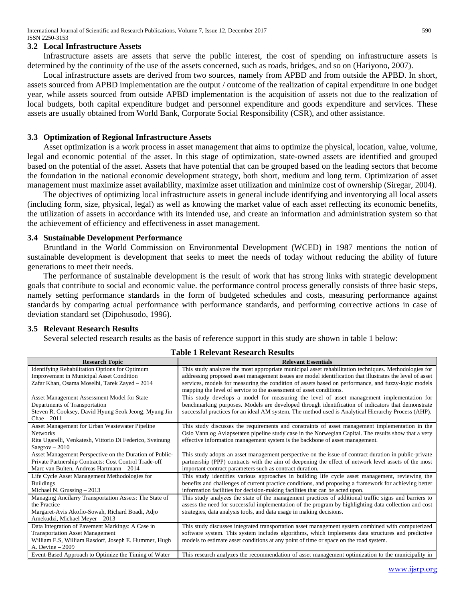#### **3.2 Local Infrastructure Assets**

Infrastructure assets are assets that serve the public interest, the cost of spending on infrastructure assets is determined by the continuity of the use of the assets concerned, such as roads, bridges, and so on (Hariyono, 2007).

Local infrastructure assets are derived from two sources, namely from APBD and from outside the APBD. In short, assets sourced from APBD implementation are the output / outcome of the realization of capital expenditure in one budget year, while assets sourced from outside APBD implementation is the acquisition of assets not due to the realization of local budgets, both capital expenditure budget and personnel expenditure and goods expenditure and services. These assets are usually obtained from World Bank, Corporate Social Responsibility (CSR), and other assistance.

#### **3.3 Optimization of Regional Infrastructure Assets**

Asset optimization is a work process in asset management that aims to optimize the physical, location, value, volume, legal and economic potential of the asset. In this stage of optimization, state-owned assets are identified and grouped based on the potential of the asset. Assets that have potential that can be grouped based on the leading sectors that become the foundation in the national economic development strategy, both short, medium and long term. Optimization of asset management must maximize asset availability, maximize asset utilization and minimize cost of ownership (Siregar, 2004).

The objectives of optimizing local infrastructure assets in general include identifying and inventorying all local assets (including form, size, physical, legal) as well as knowing the market value of each asset reflecting its economic benefits, the utilization of assets in accordance with its intended use, and create an information and administration system so that the achievement of efficiency and effectiveness in asset management.

#### **3.4 Sustainable Development Performance**

Bruntland in the World Commission on Environmental Development (WCED) in 1987 mentions the notion of sustainable development is development that seeks to meet the needs of today without reducing the ability of future generations to meet their needs.

The performance of sustainable development is the result of work that has strong links with strategic development goals that contribute to social and economic value. the performance control process generally consists of three basic steps, namely setting performance standards in the form of budgeted schedules and costs, measuring performance against standards by comparing actual performance with performance standards, and performing corrective actions in case of deviation standard set (Dipohusodo, 1996).

#### **3.5 Relevant Research Results**

Several selected research results as the basis of reference support in this study are shown in table 1 below:

| <b>Research Topic</b>                                                                             | <b>Relevant Essentials</b>                                                                                                                                                                                        |
|---------------------------------------------------------------------------------------------------|-------------------------------------------------------------------------------------------------------------------------------------------------------------------------------------------------------------------|
| <b>Identifying Rehabilitation Options for Optimum</b><br>Improvement in Municipal Asset Condition | This study analyzes the most appropriate municipal asset rehabilitation techniques. Methodologies for<br>addressing proposed asset management issues are model identification that illustrates the level of asset |
| Zafar Khan, Osama Moselhi, Tarek Zayed - 2014                                                     | services, models for measuring the condition of assets based on performance, and fuzzy-logic models                                                                                                               |
|                                                                                                   | mapping the level of service to the assessment of asset conditions.                                                                                                                                               |
| Asset Management Assessment Model for State                                                       | This study develops a model for measuring the level of asset management implementation for                                                                                                                        |
| Departments of Transportation                                                                     | benchmarking purposes. Models are developed through identification of indicators that demonstrate                                                                                                                 |
| Steven R. Cooksey, David Hyung Seok Jeong, Myung Jin                                              | successful practices for an ideal AM system. The method used is Analytical Hierarchy Process (AHP).                                                                                                               |
| $Chae - 2011$                                                                                     |                                                                                                                                                                                                                   |
| Asset Management for Urban Wastewater Pipeline                                                    | This study discusses the requirements and constraints of asset management implementation in the                                                                                                                   |
| <b>Networks</b>                                                                                   | Oslo Vann og Avløpsetaten pipeline study case in the Norwegian Capital. The results show that a very                                                                                                              |
| Rita Ugarelli, Venkatesh, Vittorio Di Federico, Sveinung                                          | effective information management system is the backbone of asset management.                                                                                                                                      |
| $Saegrov - 2010$                                                                                  |                                                                                                                                                                                                                   |
| Asset Management Perspective on the Duration of Public-                                           | This study adopts an asset management perspective on the issue of contract duration in public-private                                                                                                             |
| Private Partnership Contracts: Cost Control Trade-off                                             | partnership (PPP) contracts with the aim of deepening the effect of network level assets of the most                                                                                                              |
| Marc van Buiten, Andreas Hartmann - 2014                                                          | important contract parameters such as contract duration.                                                                                                                                                          |
| Life Cycle Asset Management Methodologies for                                                     | This study identifies various approaches in building life cycle asset management, reviewing the                                                                                                                   |
| <b>Buildings</b>                                                                                  | benefits and challenges of current practice conditions, and proposing a framework for achieving better                                                                                                            |
| Michael N. Grussing $-2013$                                                                       | information facilities for decision-making facilities that can be acted upon.                                                                                                                                     |
| Managing Ancilarry Transportation Assets: The State of                                            | This study analyzes the state of the management practices of additional traffic signs and barriers to                                                                                                             |
| the Practice                                                                                      | assess the need for successful implementation of the program by highlighting data collection and cost                                                                                                             |
| Margaret-Avis Akofio-Sowah, Richard Boadi, Adjo                                                   | strategies, data analysis tools, and data usage in making decisions.                                                                                                                                              |
| Amekudzi, Michael Meyer - 2013                                                                    |                                                                                                                                                                                                                   |
| Data Integration of Pavement Markings: A Case in                                                  | This study discusses integrated transportation asset management system combined with computerized                                                                                                                 |
| <b>Transportation Asset Management</b>                                                            | software system. This system includes algorithms, which implements data structures and predictive                                                                                                                 |
| William E.S, William Rasdorf, Joseph E. Hummer, Hugh                                              | models to estimate asset conditions at any point of time or space on the road system.                                                                                                                             |
| A. Devine $-2009$                                                                                 |                                                                                                                                                                                                                   |
| Event-Based Approach to Optimize the Timing of Water                                              | This research analyzes the recommendation of asset management optimization to the municipality in                                                                                                                 |

**Table 1 Relevant Research Results**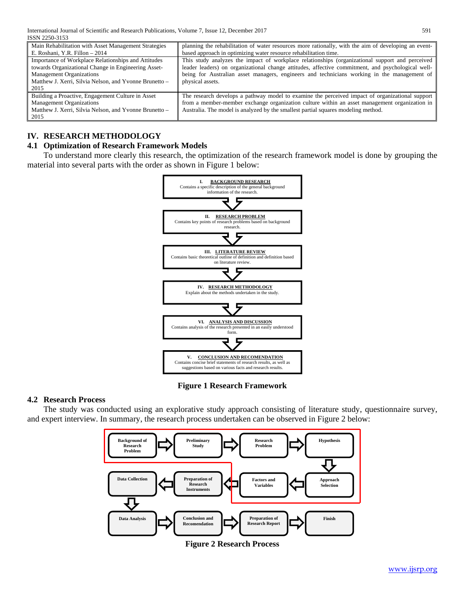| Main Rehabilitation with Asset Management Strategies                                                                                                                                                            | planning the rehabilitation of water resources more rationally, with the aim of developing an event-                                                                                                                                                                                                                    |  |
|-----------------------------------------------------------------------------------------------------------------------------------------------------------------------------------------------------------------|-------------------------------------------------------------------------------------------------------------------------------------------------------------------------------------------------------------------------------------------------------------------------------------------------------------------------|--|
| E. Roshani, Y.R. Fillon - 2014                                                                                                                                                                                  | based approach in optimizing water resource rehabilitation time.                                                                                                                                                                                                                                                        |  |
| Importance of Workplace Relationships and Attitudes<br>towards Organizational Change in Engineering Asset-<br><b>Management Organizations</b><br>Matthew J. Xerri, Silvia Nelson, and Yvonne Brunetto -<br>2015 | This study analyzes the impact of workplace relationships (organizational support and perceived<br>leader leaders) on organizational change attitudes, affective commitment, and psychological well-<br>being for Australian asset managers, engineers and technicians working in the management of<br>physical assets. |  |
| Building a Proactive, Engagement Culture in Asset<br><b>Management Organizations</b><br>Matthew J. Xerri, Silvia Nelson, and Yvonne Brunetto -<br>2015                                                          | The research develops a pathway model to examine the perceived impact of organizational support<br>from a member-member exchange organization culture within an asset management organization in<br>Australia. The model is analyzed by the smallest partial squares modeling method.                                   |  |

# **IV. RESEARCH METHODOLOGY**

# **4.1 Optimization of Research Framework Models**

To understand more clearly this research, the optimization of the research framework model is done by grouping the material into several parts with the order as shown in Figure 1 below:



**Figure 1 Research Framework**

# **4.2 Research Process**

The study was conducted using an explorative study approach consisting of literature study, questionnaire survey, and expert interview. In summary, the research process undertaken can be observed in Figure 2 below:



**Figure 2 Research Process**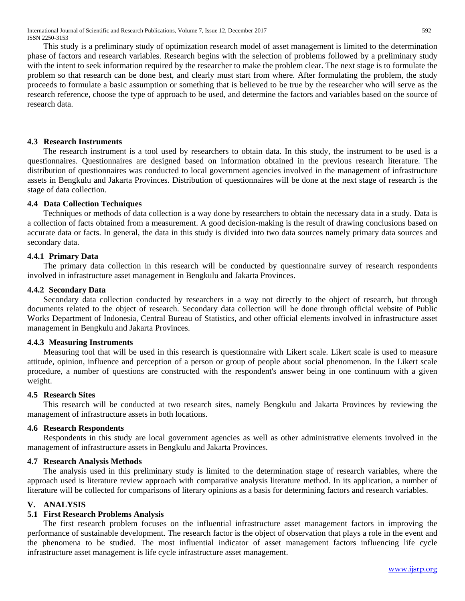This study is a preliminary study of optimization research model of asset management is limited to the determination phase of factors and research variables. Research begins with the selection of problems followed by a preliminary study with the intent to seek information required by the researcher to make the problem clear. The next stage is to formulate the problem so that research can be done best, and clearly must start from where. After formulating the problem, the study proceeds to formulate a basic assumption or something that is believed to be true by the researcher who will serve as the research reference, choose the type of approach to be used, and determine the factors and variables based on the source of research data.

# **4.3 Research Instruments**

The research instrument is a tool used by researchers to obtain data. In this study, the instrument to be used is a questionnaires. Questionnaires are designed based on information obtained in the previous research literature. The distribution of questionnaires was conducted to local government agencies involved in the management of infrastructure assets in Bengkulu and Jakarta Provinces. Distribution of questionnaires will be done at the next stage of research is the stage of data collection.

# **4.4 Data Collection Techniques**

Techniques or methods of data collection is a way done by researchers to obtain the necessary data in a study. Data is a collection of facts obtained from a measurement. A good decision-making is the result of drawing conclusions based on accurate data or facts. In general, the data in this study is divided into two data sources namely primary data sources and secondary data.

# **4.4.1 Primary Data**

The primary data collection in this research will be conducted by questionnaire survey of research respondents involved in infrastructure asset management in Bengkulu and Jakarta Provinces.

# **4.4.2 Secondary Data**

Secondary data collection conducted by researchers in a way not directly to the object of research, but through documents related to the object of research. Secondary data collection will be done through official website of Public Works Department of Indonesia, Central Bureau of Statistics, and other official elements involved in infrastructure asset management in Bengkulu and Jakarta Provinces.

#### **4.4.3 Measuring Instruments**

Measuring tool that will be used in this research is questionnaire with Likert scale. Likert scale is used to measure attitude, opinion, influence and perception of a person or group of people about social phenomenon. In the Likert scale procedure, a number of questions are constructed with the respondent's answer being in one continuum with a given weight.

#### **4.5 Research Sites**

This research will be conducted at two research sites, namely Bengkulu and Jakarta Provinces by reviewing the management of infrastructure assets in both locations.

#### **4.6 Research Respondents**

Respondents in this study are local government agencies as well as other administrative elements involved in the management of infrastructure assets in Bengkulu and Jakarta Provinces.

#### **4.7 Research Analysis Methods**

The analysis used in this preliminary study is limited to the determination stage of research variables, where the approach used is literature review approach with comparative analysis literature method. In its application, a number of literature will be collected for comparisons of literary opinions as a basis for determining factors and research variables.

#### **V. ANALYSIS**

# **5.1 First Research Problems Analysis**

The first research problem focuses on the influential infrastructure asset management factors in improving the performance of sustainable development. The research factor is the object of observation that plays a role in the event and the phenomena to be studied. The most influential indicator of asset management factors influencing life cycle infrastructure asset management is life cycle infrastructure asset management.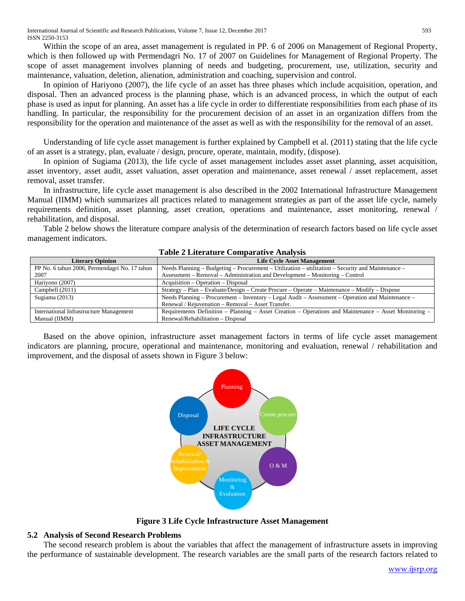Within the scope of an area, asset management is regulated in PP. 6 of 2006 on Management of Regional Property, which is then followed up with Permendagri No. 17 of 2007 on Guidelines for Management of Regional Property. The scope of asset management involves planning of needs and budgeting, procurement, use, utilization, security and maintenance, valuation, deletion, alienation, administration and coaching, supervision and control.

In opinion of Hariyono (2007), the life cycle of an asset has three phases which include acquisition, operation, and disposal. Then an advanced process is the planning phase, which is an advanced process, in which the output of each phase is used as input for planning. An asset has a life cycle in order to differentiate responsibilities from each phase of its handling. In particular, the responsibility for the procurement decision of an asset in an organization differs from the responsibility for the operation and maintenance of the asset as well as with the responsibility for the removal of an asset.

Understanding of life cycle asset management is further explained by Campbell et al. (2011) stating that the life cycle of an asset is a strategy, plan, evaluate / design, procure, operate, maintain, modify, (dispose).

In opinion of Sugiama (2013), the life cycle of asset management includes asset asset planning, asset acquisition, asset inventory, asset audit, asset valuation, asset operation and maintenance, asset renewal / asset replacement, asset removal, asset transfer.

In infrastructure, life cycle asset management is also described in the 2002 International Infrastructure Management Manual (IIMM) which summarizes all practices related to management strategies as part of the asset life cycle, namely requirements definition, asset planning, asset creation, operations and maintenance, asset monitoring, renewal / rehabilitation, and disposal.

Table 2 below shows the literature compare analysis of the determination of research factors based on life cycle asset management indicators.

| <b>Literary Opinion</b>                       | <b>Life Cycle Asset Management</b>                                                                    |  |  |  |
|-----------------------------------------------|-------------------------------------------------------------------------------------------------------|--|--|--|
| PP No. 6 tahun 2006, Permendagri No. 17 tahun | Needs Planning – Budgeting – Procurement – Utilization – utilization – Security and Maintenance –     |  |  |  |
| 2007                                          | Assessment – Removal – Administration and Development – Monitoring – Control                          |  |  |  |
| Hariyono (2007)                               | Acquisition – Operation – Disposal                                                                    |  |  |  |
| Campbell (2011)                               | Strategy – Plan – Evaluate/Design – Create Procure – Operate – Maintenance – Modify – Dispose         |  |  |  |
| Sugiama $(2013)$                              | Needs Planning – Procurement – Inventory – Legal Audit – Assessment – Operation and Maintenance –     |  |  |  |
|                                               | Renewal / Rejuvenation – Removal – Asset Transfer.                                                    |  |  |  |
| International Infrastructure Management       | Requirements Definition – Planning – Asset Creation – Operations and Maintenance – Asset Monitoring – |  |  |  |
| Manual (IIMM)                                 | Renewal/Rehabilitation – Disposal                                                                     |  |  |  |

#### **Table 2 Literature Comparative Analysis**

Based on the above opinion, infrastructure asset management factors in terms of life cycle asset management indicators are planning, procure, operational and maintenance, monitoring and evaluation, renewal / rehabilitation and improvement, and the disposal of assets shown in Figure 3 below:



**Figure 3 Life Cycle Infrastructure Asset Management**

# **5.2 Analysis of Second Research Problems**

The second research problem is about the variables that affect the management of infrastructure assets in improving the performance of sustainable development. The research variables are the small parts of the research factors related to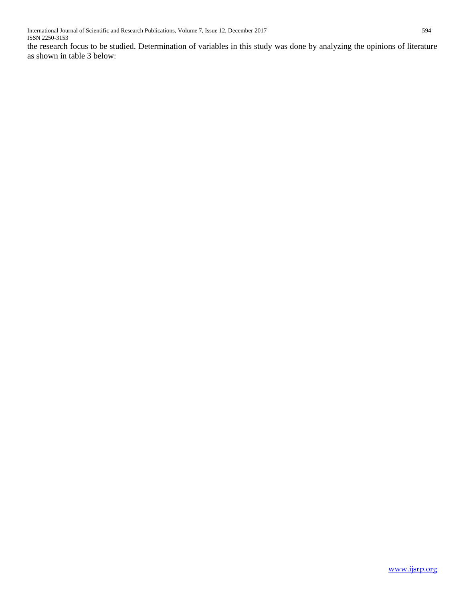the research focus to be studied. Determination of variables in this study was done by analyzing the opinions of literature as shown in table 3 below: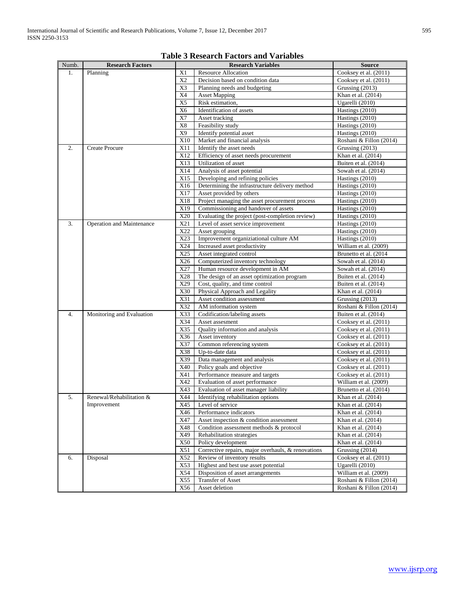|       |                           |                | Tuble & Research I actors and Tarlables            |                                        |
|-------|---------------------------|----------------|----------------------------------------------------|----------------------------------------|
| Numb. | <b>Research Factors</b>   |                | <b>Research Variables</b>                          | <b>Source</b><br>Cooksey et al. (2011) |
| 1.    | Planning                  | X1             | <b>Resource Allocation</b>                         |                                        |
|       |                           | X <sub>2</sub> | Decision based on condition data                   | Cooksey et al. (2011)                  |
|       |                           | X3             | Planning needs and budgeting                       | Grussing (2013)                        |
|       |                           | X4             | <b>Asset Mapping</b>                               | Khan et al. (2014)                     |
|       |                           | X5             | Risk estimation,                                   | Ugarelli (2010)                        |
|       |                           | X <sub>6</sub> | Identification of assets                           | Hastings (2010)                        |
|       |                           | X7             | Asset tracking                                     | Hastings (2010)                        |
|       |                           | X8             | Feasibility study                                  | Hastings (2010)                        |
|       |                           | X9             | Identify potential asset                           | Hastings (2010)                        |
|       |                           | X10            | Market and financial analysis                      | Roshani & Fillon (2014)                |
| 2.    | <b>Create Procure</b>     | X11            | Identify the asset needs                           | Grussing $(2013)$                      |
|       |                           | X12            | Efficiency of asset needs procurement              | Khan et al. (2014)                     |
|       |                           | X13            | Utilization of asset                               | Buiten et al. (2014)                   |
|       |                           | X14            | Analysis of asset potential                        | Sowah et al. $(2014)$                  |
|       |                           | X15            | Developing and refining policies                   | Hastings (2010)                        |
|       |                           | X16            | Determining the infrastructure delivery method     | Hastings (2010)                        |
|       |                           | X17            | Asset provided by others                           | Hastings (2010)                        |
|       |                           | X18            | Project managing the asset procurement process     | Hastings (2010)                        |
|       |                           | X19            | Commissioning and handover of assets               | Hastings (2010)                        |
|       |                           | X20            | Evaluating the project (post-completion review)    | Hastings (2010)                        |
| 3.    | Operation and Maintenance | X21            | Level of asset service improvement                 | Hastings (2010)                        |
|       |                           | X22            | Asset grouping                                     | Hastings (2010)                        |
|       |                           | X23            | Improvement organiziational culture AM             | Hastings (2010)                        |
|       |                           | X24            | Increased asset productivity                       | William et al. (2009)                  |
|       |                           | X25            | Asset integrated control                           | Brunetto et al. (2014)                 |
|       |                           | X26            | Computerized inventory technology                  | Sowah et al. $(2014)$                  |
|       |                           | X27            | Human resource development in AM                   | Sowah et al. (2014)                    |
|       |                           | X28            | The design of an asset optimization program        | Buiten et al. (2014)                   |
|       |                           | X29            | Cost, quality, and time control                    | Buiten et al. (2014)                   |
|       |                           | X30            | Physical Approach and Legality                     | Khan et al. (2014)                     |
|       |                           | X31            | Asset condition assessment                         |                                        |
|       |                           | X32            |                                                    | Grussing (2013)                        |
|       |                           |                | AM information system                              | Roshani & Fillon (2014)                |
| 4.    | Monitoring and Evaluation | X33            | Codification/labeling assets                       | Buiten et al. (2014)                   |
|       |                           | X34<br>X35     | Asset assesment                                    | Cooksey et al. (2011)                  |
|       |                           |                | Quality information and analysis                   | Cooksey et al. (2011)                  |
|       |                           | X36            | Asset inventory                                    | Cooksey et al. (2011)                  |
|       |                           | X37            | Common referencing system                          | Cooksey et al. (2011)                  |
|       |                           | X38            | Up-to-date data                                    | Cooksey et al. (2011)                  |
|       |                           | X39            | Data management and analysis                       | Cooksey et al. $(2011)$                |
|       |                           | X40            | Policy goals and objective                         | Cooksey et al. (2011)                  |
|       |                           | X41            | Performance measure and targets                    | Cooksey et al. (2011)                  |
|       |                           | X42            | Evaluation of asset performance                    | William et al. (2009)                  |
|       |                           | X43            | Evaluation of asset manager liability              | Brunetto et al. (2014)                 |
| 5.    | Renewal/Rehabilitation &  | X44            | Identifying rehabilitation options                 | Khan et al. (2014)                     |
|       | Improvement               | X45            | Level of service                                   | Khan et al. (2014)                     |
|       |                           | X46            | Performance indicators                             | Khan et al. (2014)                     |
|       |                           | X47            | Asset inspection & condition assessment            | Khan et al. (2014)                     |
|       |                           | X48            | Condition assessment methods & protocol            | Khan et al. (2014)                     |
|       |                           | X49            | Rehabilitation strategies                          | Khan et al. (2014)                     |
|       |                           | X50            | Policy development                                 | Khan et al. $(2014)$                   |
|       |                           | X51            | Corrective repairs, major overhauls, & renovations | Grussing (2014)                        |
| 6.    | Disposal                  | X52            | Review of inventory results                        | Cooksey et al. (2011)                  |
|       |                           | X53            | Highest and best use asset potential               | Ugarelli $(2010)$                      |
|       |                           | X54            | Disposition of asset arrangements                  | William et al. (2009)                  |
|       |                           | X55            | Transfer of Asset                                  | Roshani & Fillon (2014)                |
|       |                           | X56            | Asset deletion                                     | Roshani & Fillon (2014)                |
|       |                           |                |                                                    |                                        |

# **Table 3 Research Factors and Variables**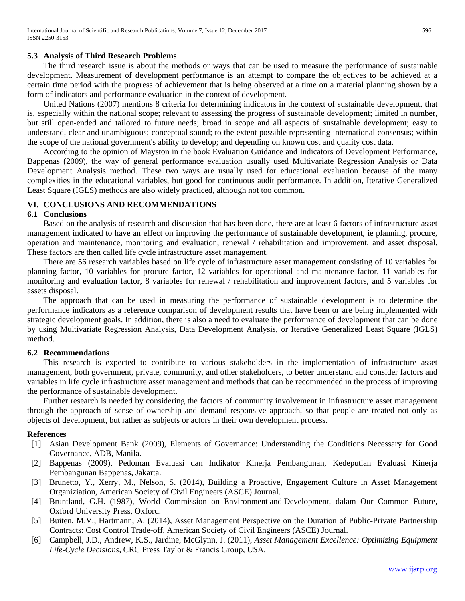#### **5.3 Analysis of Third Research Problems**

The third research issue is about the methods or ways that can be used to measure the performance of sustainable development. Measurement of development performance is an attempt to compare the objectives to be achieved at a certain time period with the progress of achievement that is being observed at a time on a material planning shown by a form of indicators and performance evaluation in the context of development.

United Nations (2007) mentions 8 criteria for determining indicators in the context of sustainable development, that is, especially within the national scope; relevant to assessing the progress of sustainable development; limited in number, but still open-ended and tailored to future needs; broad in scope and all aspects of sustainable development; easy to understand, clear and unambiguous; conceptual sound; to the extent possible representing international consensus; within the scope of the national government's ability to develop; and depending on known cost and quality cost data.

According to the opinion of Mayston in the book Evaluation Guidance and Indicators of Development Performance, Bappenas (2009), the way of general performance evaluation usually used Multivariate Regression Analysis or Data Development Analysis method. These two ways are usually used for educational evaluation because of the many complexities in the educational variables, but good for continuous audit performance. In addition, Iterative Generalized Least Square (IGLS) methods are also widely practiced, although not too common.

# **VI. CONCLUSIONS AND RECOMMENDATIONS**

# **6.1 Conclusions**

Based on the analysis of research and discussion that has been done, there are at least 6 factors of infrastructure asset management indicated to have an effect on improving the performance of sustainable development, ie planning, procure, operation and maintenance, monitoring and evaluation, renewal / rehabilitation and improvement, and asset disposal. These factors are then called life cycle infrastructure asset management.

There are 56 research variables based on life cycle of infrastructure asset management consisting of 10 variables for planning factor, 10 variables for procure factor, 12 variables for operational and maintenance factor, 11 variables for monitoring and evaluation factor, 8 variables for renewal / rehabilitation and improvement factors, and 5 variables for assets disposal.

The approach that can be used in measuring the performance of sustainable development is to determine the performance indicators as a reference comparison of development results that have been or are being implemented with strategic development goals. In addition, there is also a need to evaluate the performance of development that can be done by using Multivariate Regression Analysis, Data Development Analysis, or Iterative Generalized Least Square (IGLS) method.

#### **6.2 Recommendations**

This research is expected to contribute to various stakeholders in the implementation of infrastructure asset management, both government, private, community, and other stakeholders, to better understand and consider factors and variables in life cycle infrastructure asset management and methods that can be recommended in the process of improving the performance of sustainable development.

Further research is needed by considering the factors of community involvement in infrastructure asset management through the approach of sense of ownership and demand responsive approach, so that people are treated not only as objects of development, but rather as subjects or actors in their own development process.

#### **References**

- [1] Asian Development Bank (2009), Elements of Governance: Understanding the Conditions Necessary for Good Governance, ADB, Manila.
- [2] Bappenas (2009), Pedoman Evaluasi dan Indikator Kinerja Pembangunan, Kedeputian Evaluasi Kinerja Pembangunan Bappenas, Jakarta.
- [3] Brunetto, Y., Xerry, M., Nelson, S. (2014), Building a Proactive, Engagement Culture in Asset Management Organiziation, American Society of Civil Engineers (ASCE) Journal.
- [4] Bruntland, G.H. (1987), World Commission on Environment and Development, dalam Our Common Future, Oxford University Press, Oxford.
- [5] Buiten, M.V., Hartmann, A. (2014), Asset Management Perspective on the Duration of Public-Private Partnership Contracts: Cost Control Trade-off, American Society of Civil Engineers (ASCE) Journal.
- [6] Campbell, J.D., Andrew, K.S., Jardine, McGlynn, J. (2011), *Asset Management Excellence: Optimizing Equipment Life-Cycle Decisions,* CRC Press Taylor & Francis Group, USA.